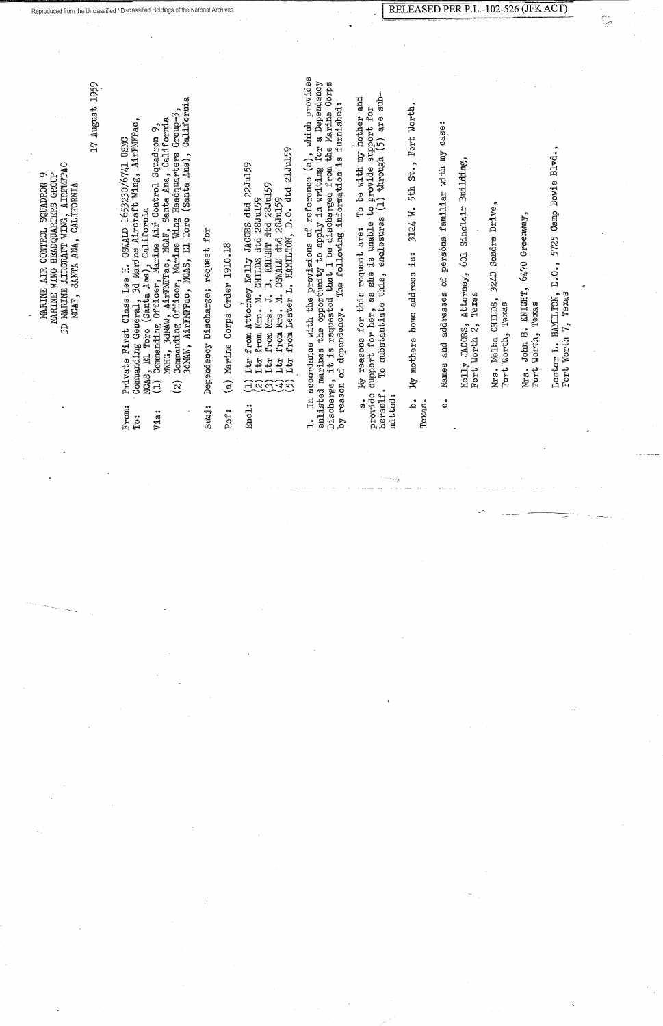JD MA.RINg AIRCRAFT WING, AIR]'MFPA.C AIRFMFPAC MARINE AIR CON'rROJ~ SQUADRON 9 MARINE WING HEADQUARTERS GROUP HEADQUARTERS GROUP MCAF, SANTA ANA, CALLFORNIA CONTROL SOUADRON **CALIFORNIA** AIRCRAFT WING, SANTA ANA, MARINE AIR MARINE WING **3D MARINE** MCAF,

1'7 August 1959 17 August 1959

To: · Commanding General, 3d Marine Aircraft Wing, Ai:rFMll'Pac, 3d Marine Aircraft Wing, AirFMFPac, , El Toro (Santa Ana), California<br>Commanding Officer, Marine Air Control Squadron From: Private ll'irst Class Lee H. OSWALD 1653230/6741 USMC OSWALD 1653230/6741 USMC MCA.S, In To:ro (Santa Ana), Cal:i.f o:r.nia Private First Class Lee H. Commanding General, MCAS, EL From: To:

MWHG, 3dMAW, AirFMFPac, MCAF, Santa Ana, California<br>Commanding Officer, Marine Wing Headquarters Group-3 'MFPao, MCA:B', Santa *J\,wa,* Calif orn:i.a. Via & (l) Commanding Off:toer, Ma:d.ne Air Control Squadron 9, Q MWIIG, 3dMAW, Ai:rI  $\left( \begin{smallmatrix} 1\\ 1 \end{smallmatrix} \right)$ Via:

3dMAW, AirFMFPao, MOAS, 1U Toro (Santa Ana.), Calif'o:rnia California (2) Commanding Off:toe:r, Marine 'Wing Headquarters Group-3, (Santa Ana), Toro 3dMAW, AirFMFPac, MCAS, El  $(2)$ 

Subj: Dependency Discharge; request for Dependency Discharge; request for Subj:

Ref: (a) Marine Corps Order 1910.18 Marine Corps Order 1910.18  $\hat{a}$ Ref:

(1) Lt:r f:rom Attorney Kelly JACOBS dtd 22Ju159 22Ju159 from Ltr  $\Xi$ 2 Encl.:

•.

(2) Lt:r from Mrs. M. CHILDS dtd 28Ju159 Mrs. M. mort Ltr

(3) Lt:r from Mrs. J.B. KNIGHT dtd 28Jul59 B. KNIGHT dtd 28Jul59 OSWALD dtd 28Ju159  $\vec{J}$  $\sum_{i=1}^{n}$ from Mrs. Ltr  $(0.35)$ 

(4) Ltr. f:rom M:rs. M. OSWALD dtd 28J'u159 Mrs. from Ltr

(5) Ltr from Lester L. HAMILTON, D.O. dtd 21Ju159 from Lester L. HAMILTON, D.O. dtd 21Ju159 Ltr

1. In accordance with the provisions of reference (a), which provides which provides enlisted marines the opportunity to apply in writing for a Dependency Discharge, it is requested that I be discharged from the Marine Corps reference (a), which provides<br>y in writing for a Dependency<br>charged from the Marine Corps 'by reason of dependency. The following information is furnished; The following information is furnished: the opportunity to apply in writed that I be discharged accordance with the provisions of of dependency. enlisted marines it is Discharge, reason  $\mathfrak{m}$ ζq ڋ

 $\sinh$ herself. To substantiate this, enclosures (1) through (5) are suba. My reasons for this request are: To be with my mother and To be with my mother and provide support for her, as she is unable to provide support for support for are  $\widetilde{(\mathfrak{H})}$ through to provide  $s(1)$  through enclosures she is unable My reasons for this request are: this, ು<br>ಭ To substantiate support for her, herself. provide mitted: mitted: ್ಕ

'ort Worth, 5th St., Fort Worth, b. My mothers home address is: 3124 W. 5th St.,  $\overline{M}$  .  $3124$ My mothers home address is: مُم Texas.

c. Names and addresses of persons fa.mi.liar v1ith my case:  $cases:$ familiar with my Names and addresses of persons ં

Kelly ,TACOBS, Attorney, 601 Sinclair Building, Sinclair Building, 601 Attorney, Fort Worth 2, Texas Texas Kelly JACOBS,<br>Fort Worth 2,

Mrs. Melba CHILDS, 32L~O S011dra Drive, 3240 Sondra Drive, Melba CHILDS, Fort Worth, Texas Texas Worth, Mrs. Fort

Mrs. John B. KNIGHT, 6470 Greenway, Greenway 6470 KNIGHT, Fort Worth, Texas Texas  $\mathbb{B}^{\bullet}$ Worth, John Fort Mrs.

Lester L. HAMILTON, D.O., 5'725 Camp Bowie Blvd., Camp Bowie Blvd., 5725  $D_{\bullet}$   $O_{\bullet}$ , HAMILTON,<br>h 7. Texas Fort Worth 7, Texas Worth 7, Lester L. Fort

 $\frac{1}{\sigma}$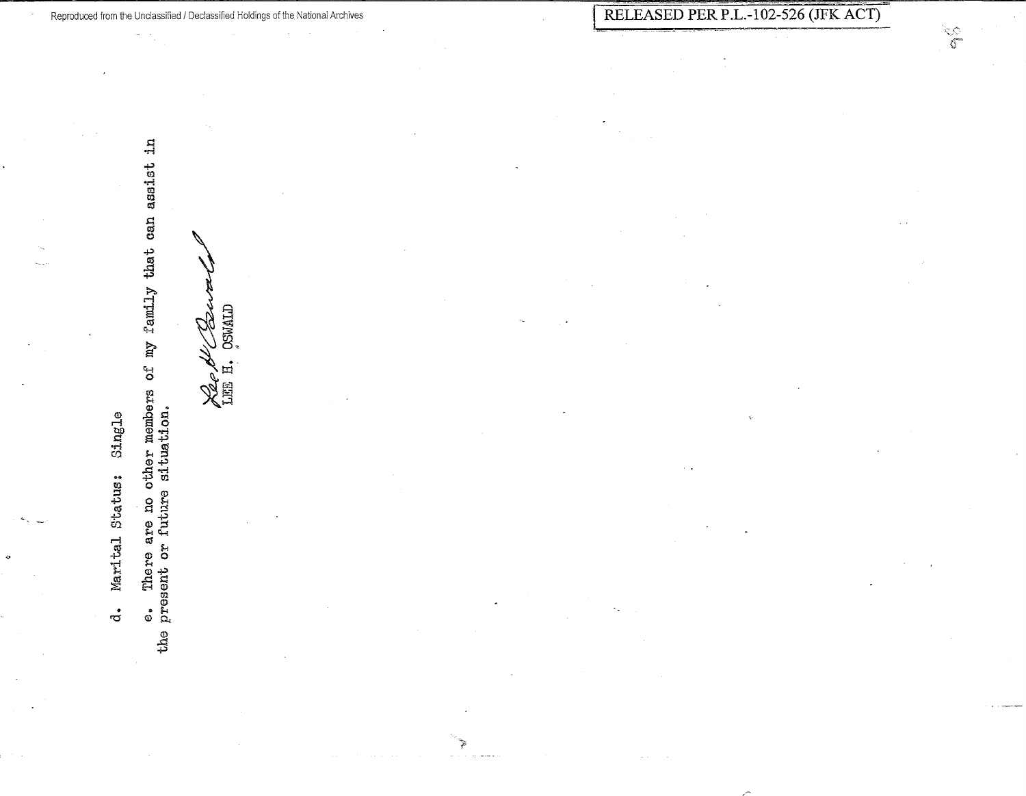$\vec{a}$ 

e. There are no other members of my family that can assist in the present or future situation.

**OSWALD** bg Xee A<br>Lilli H.

٦

Reproduced from the Unclassified / Declassified Holdings of the National Archives

 $\frac{1}{\sqrt{2}}$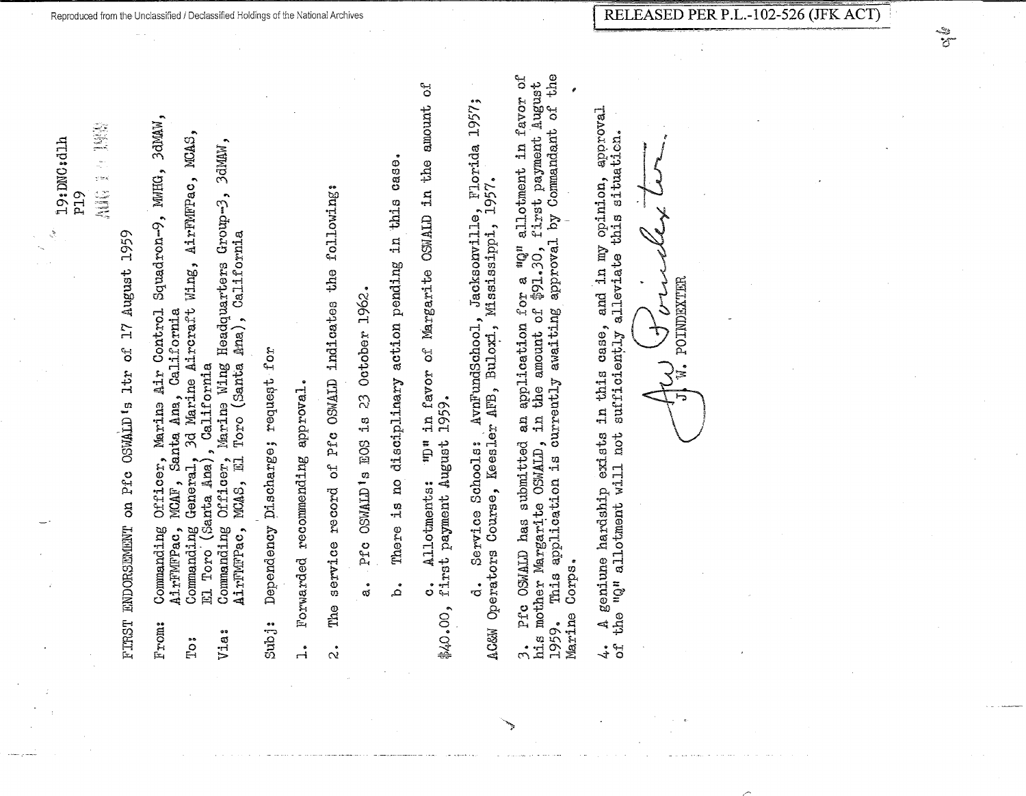.<br>Vitel

on Pfe OSWALD's 1tr of 17 August 1959 **FIRST ENDORSEMENT** 

- Squadron-9, MWHG, 3dMAW, Officer, Marine Air Control Commanding AirFMFPac, From:
	- nc, MOAF, Santa Ana, California<br>ac, MOAF, Santa Ana, California<br>Lng General, 3d Marine Aircraft Wing, AirFMFPac, MCAS,<br>(Santa Ana), California<br>Lng Officer, Marine Wing Headquarters Group-3, 3dMAW, Commanding EL Toro  $T_{\rm O}$ 
		- Toro (Santa Ana), California Commanding Officer,<br>AirFMFPac, MCAS, El Via:

Dependency Discharge; request for Subj:

Forwarded recommending approval.  $\mathbf{1}$  The service record of Pfc OSMALD indicates the following:  $\dot{\alpha}$ 

23 October 1962. Pfc OSWALD's EOS is ්<br>ග් disciplinary action pending in this case. There is no مُ

ď in favor of Margarite OSMALD in the amount \$40.00, first payment August 1959.  $\mathbf{u}$ Che Allotments:  $\dot{\circ}$ 

AvnFundSchool, Jacksonville, Florida 1957;<br>r AFB, Buloxi, Mississippi, 1957. Mississippi, Keesler AFB, Buloxi, Service Schools: AC&W Operators Course, ್

Pfc OSWALD has submitted an application for a  $uQ^n$  allotment in favor of mother Margarite OSWALD, in the amount of  $$91.30$ , first payment August This application is currently awaiting approval by Commandant of the Dis mother Margarite OSWALD, Marine Corps. 1959.  $\tilde{c}$ 

approval this situation. opinion, and in my "Q" allotment will not sufficiently alleviate geniune hardship exists in this case,  $the$ لي<br>ا ٩ť  $\stackrel{\bullet}{\downarrow}$ 

POINDEXTER  $\frac{1}{\tau}$ 

\*\*\*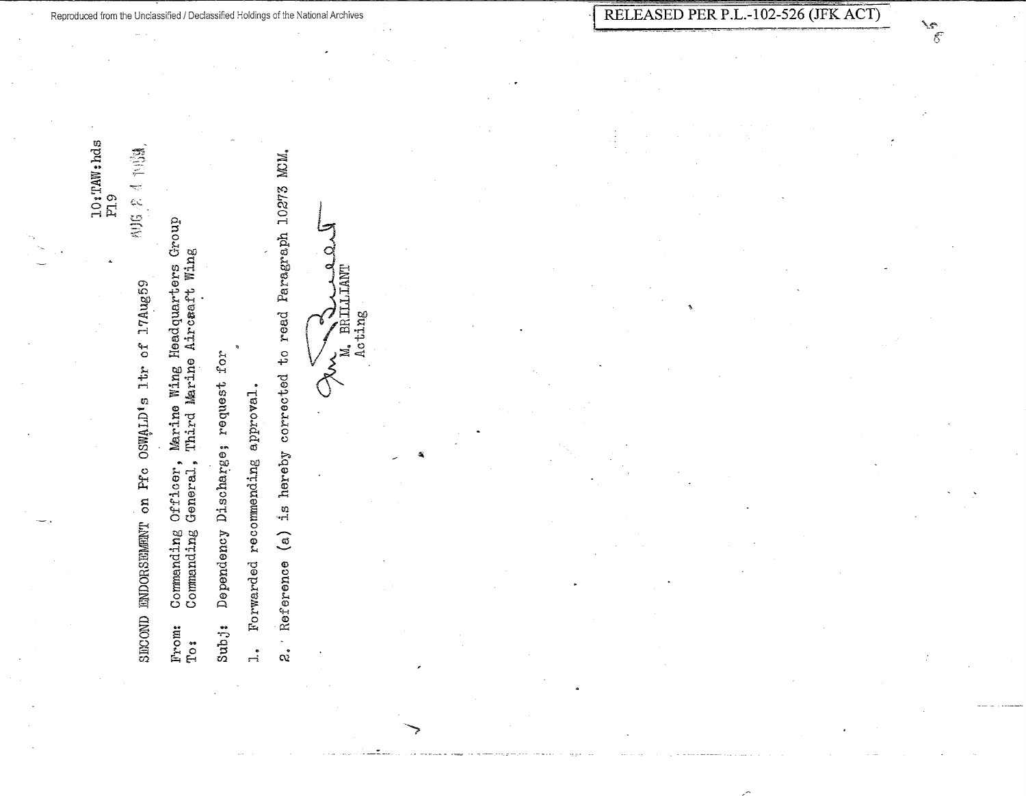$\frac{1}{2}$ SECOND ENDORSEMENT on Pfc OSWALD's ltr of l7Aug59

Marine Wing Headquarters Group<br>Third Marine Aircæaft Wing Commanding Officer,<br>Commanding General, From:  $T\circ$ :

Dependency Discharge; request for Subj:

Forwarded recommending approval.  $\vec{a}$  2. Reference (a) is hereby corrected to read Paragraph 10273 MCM.

 $\circ$ M. BRILLIANT CANNER.

حقمتم  $\bar{5}$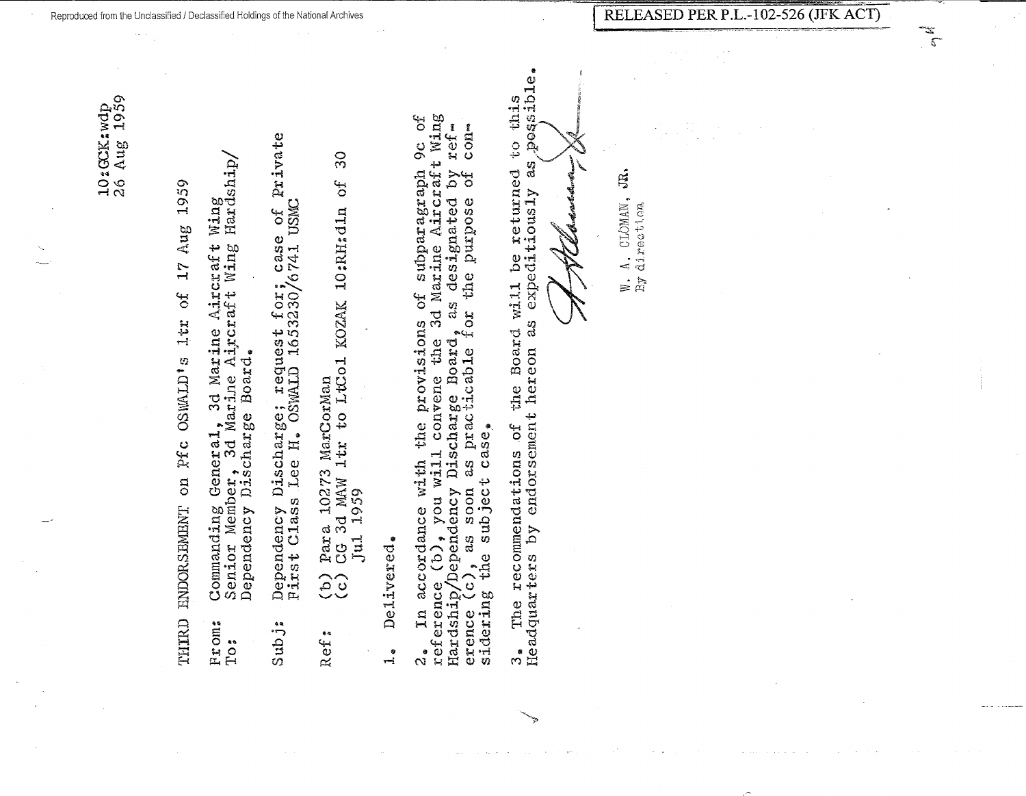17 Aug 1959 SF. 1tr OSWALD<sup>\*</sup><sub>5</sub> on Pfc **ENDOR SEMENT** THIRD

- General, 3d Marine Aircraft Wing<br>per, 3d Marine Aircraft Wing Hardship<br>Discharge Board. Senior Member, 3d Mar<br>Dependency Discharge Commanding From: To:
- Private Dependency Discharge; request for; case of 1<br>First Class Lee H. OSWALD 1653230/6741 USMC  $Subj$ :
- $30$ to LtCol KOZAK 10:RH:dln of Para 10273 MarCorMan<br>CG 3d MAW 1tr to LtC 1959 Jul.  $\widehat{c}$ Ref.
- Delivered.  $\frac{1}{1}$

3d Marine Aircraft Wing<br>as designated by ref-نها<br>0  $\cos$ o<br>O  $\frac{54}{6}$ diparagraph the purpose ند.<br>ان 2. In accordance with convene the 3d reference (b), you will convene the 3d Hardship/Dependency Discharge Board, as the provisions erence (c), as soon as pra accordance with  $\mathbf{r}$  $\frac{1}{2}$ 

possible. returned to this ಡ nill be returne<br>expeditiously the Board will 3g Headquarters by endorsement hereon The recommendations of  $\frac{1}{\sqrt{2}}$ 

W. A. CLOMAN, JR. By direction  $\frac{1}{\sqrt{2}}$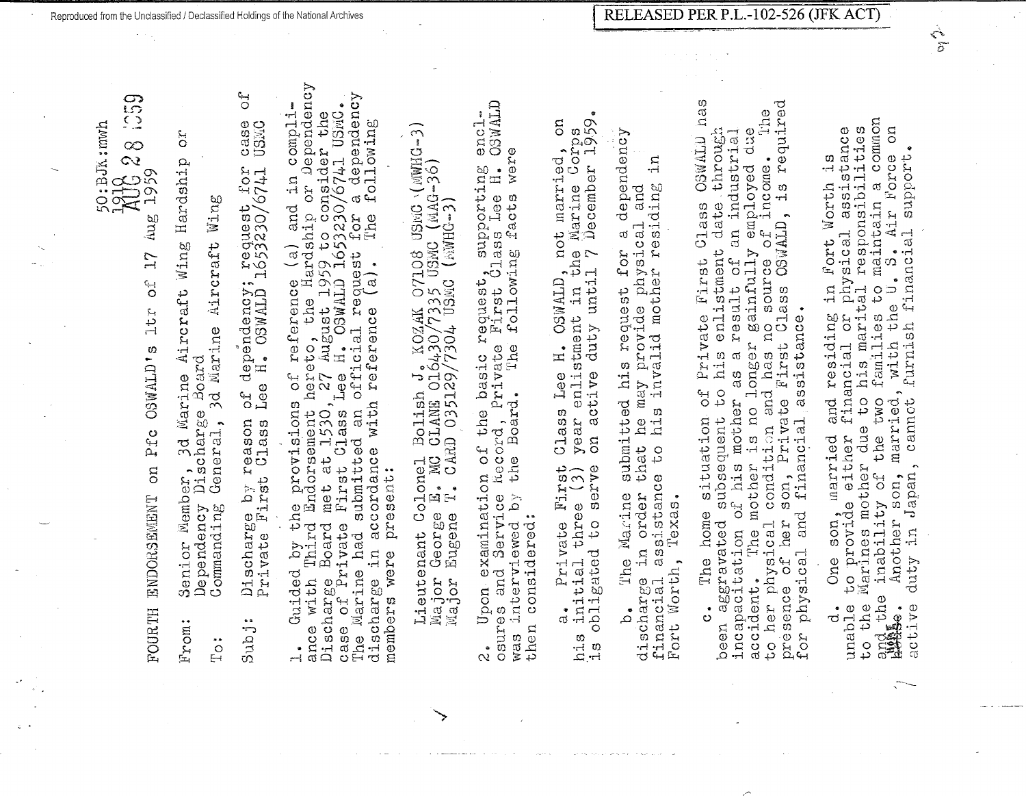$\overline{\Omega}$ 

 $\sum_{n=1}^{\infty}$  $\infty$  $\infty$ **AUC** Aug FOURTH ENDOHSg1YlENT on Pfc OSWALD' s ltr of 17  $17$  $\mathbf{O}^{\mathbf{C}}$ ltr **OSWALD's** Pfc **DIO** ENDORSENENT **FOURTH** 

Senior Member, 3d Marine Aircraft Wing Hardship or **CC** Hardship Aircraft Wing Dependency Discharge Board Board 3d Marine Senior Member, 3d Mar<br>Dependency Discharge F'rom:

Wing Commanding General, 3d Marine Aircraft Wing Aircraft 3d Marine Ceneral, Dependency<br>Commanding To:

Discharge by reason of dependency; request for case of case<br>USMC Private First Class Lee H. OSWALD 1653230/6741 US½C request for<br>1653230/6741 of dependency;<br>Lee H. OSWALD Discharge by reason<br>Private First Class Subj:

ance with Third Endorsement hereto, the Hardship or Dependency of reference (a) and in compli-<br>nereto, the Hardship or Dependency<br>27 August 1959 to consider the<br>ee H. OSWALD 1653230/6741 USMC. The ivlar:Lne had submitted an official request for a dependency dependency case of Private First Class Lee H. OSWALD 1653230/6741 USMC. 1. Guided by the provisions of reference (a) and in compli-Discharge Board met at 1530, 27 August 1959 to consider the discharge in accordance with reference (a). The following following  $\sigma$ i ne<br>The for at 1530, 27 August 1959 t<br>t Class Lee H. OSWALD 165<br>tted an official request  $\left(\begin{array}{c} a \\ a \end{array}\right)$ . in accordance with reference by the provisions of referations of  $f$ provisions submitted First members were present: present: met Board Discharge Board<br>case of Private had were Guided Marine with discharge members ance The  $\bullet$ 

 $\widehat{\mathcal{L}}$ Lieutenant Colonel Bolish J. KOZAK 07108 USMC \( MWHG-3) Colonel Bolish J. KOZAK 07108 USMC (MWHG-19e E. MC CLANE 016430/7335 USMC (MAG-36)<br>se E. MC CLANE 016430/7335 USMC (MAG-36)<br>ne T. CARD 035129/7304 USMC (MWHG-3) 1v1ajor George E. MG CLANE: 016430/733S US1vIC (MAG--36) Major Eugene T. CARD 035129/7304 USMC (MHG-3) George Eugene Lieutenant (<br>Major George Major

osures and Service h.oco:cd, Pr:Lvate First Class Lee H. OSVJ'ALD **CCMALD** 2. Upon examination of the basic request, supporting enclencl. was interviewed by the Board. 'l'he following facts were were request, supporting<br>b First Class Lee H.<br>e following facts were e basic re<br>Private F<br>Long f Record, Pry Upon examination of the Service interviewed by then considered: considered: osures and then was ە<br>ئە

1s obligated to serve on active duty until 7 December 1959.  $^{\circ}$ Corps<br>er 1959. a. Private First Class Lee H. OSWALD, not married, on g his initial three (3) year enlistment in the Marine Corps  $\bullet$ not married Marine Co:<br>December OSWALD, no on active duty until 7 enlistment Lee H. Class year vate First<br>three (3) to serve a. Private<br>initial thre obligated  $\begin{array}{c}\n0 \\
\text{A} \\
\text{B} \\
\text{A}\n\end{array}$ 

b. 'l'he lYia.cine submitted his request for a dependency dependency financial assistance to his invalid mother residing in  $\overline{\mathbf{u}}$ he may provide physical and<br>his invalid mother residing discharge in order that he may provide physical and  $\sigma$ submitted his request for that o<br>G assistance Marine in order Fort Worth, Texas. Texas. discharge in<br>financial ass<br>Fort Worth, The  $\mathfrak{a}^*$ 

c. The home situation of Private First Class OSWALD has presence of her son, Private First Class OSWALD, is required has is required to her physical condition and has no source of income. The The been aggravated subsequent to his enlistment date through incapacitation of his mother as a result of an industrial accident. The mother is no longer gainfully employed due ation of Frivate First Class OSWALD<br>pent to his enlistment date through<br>mother as a result of an industrial<br>is no longer gainfully employed due<br>in and has no source of income. OSWALD Class CSWALD, First Class<sup>1</sup> for physical and finan~ial assistance. co ner physical continuities in the physical and financial assistance.<br>presence of her son, Private First Cla<br>for physical and financial assistance. situation of Private to her physical condition and incapacitation of his mother subsequent The mother home aggravated The accident.  $\ddot{\circ}$ need

and the inability of the two farn:i.lies to maintain a common common to the Marines mother due to his marital responsibilities unable to provide either financial or physical assistance 'is the a Another son, married, with the U. S. Air Force on Accession and the physical assistance<br>cher financial or physical assistance<br>c due to his marital responsibilities<br>the two families to maintain a common SO f active duty in Japan, cannot furnish financial support. d. One son, married and residing in Fort Worth is y or car with the U.S. Air Force<br>son, married, with the U.S. Air Force<br>apan, cannot furnish financial support Morth in Fort residing and cannot<sup>-</sup> married d. One son, married<br>unable to provide either<br>to the Marines mother due duty in Japan, the inability of Another and the  $\sigma$ active

 $\frac{1}{\delta}$ 

 $\sum_{i=1}^{n}$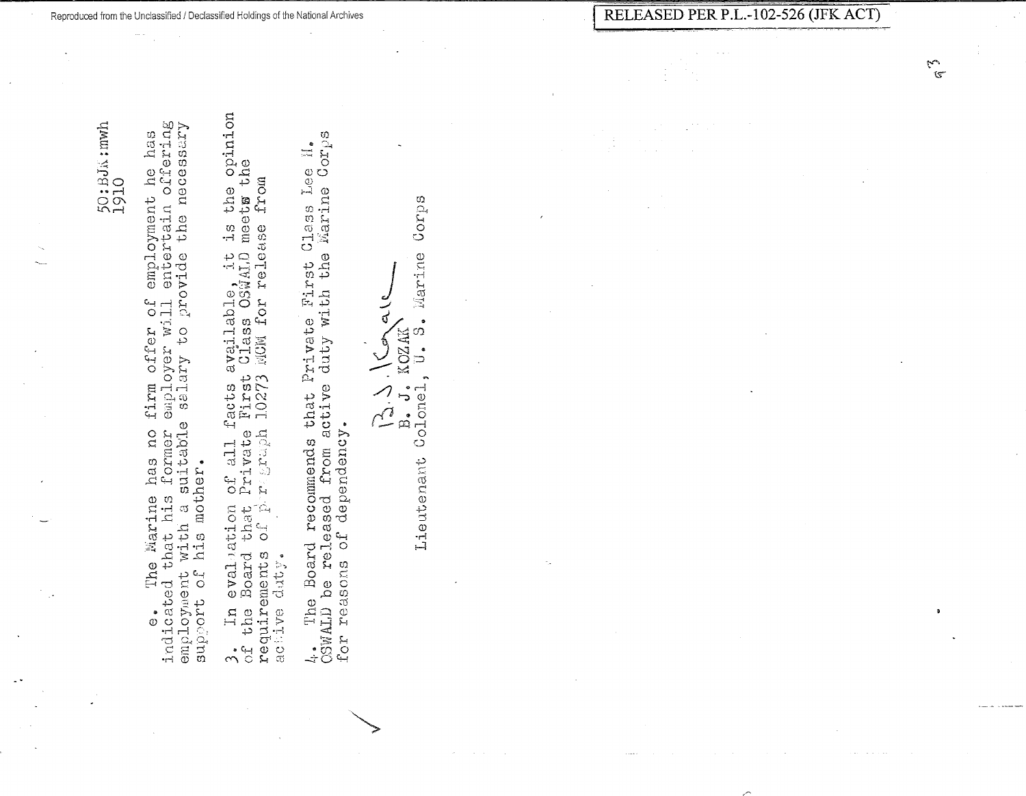employment he has<br>entertain offering the necessary firm offer of emplo<br>employer will enter<br>selary to provide suitable has no former his mother. e. The Marine hindicated that his formulation and the summent with a summer<br>amployment with a summer Marine  $\mathbb{C}^{\mathbb{C}}$ 

Reproduced from the Unclassified / Declassified Holdings of the National Archives

facts available, it is the opinion<br>B First Class OSWALD meets the<br>1 10273 MCM for release from evaluation of all f<br>Board that Private<br>ments of pregraph requirements  $d$  at  $y$ .  $\Xi$ the active  $\overset{\bullet}{\curvearrowleft}$ 

4. The Board recommends that Private First Class Lee H.<br>CSWALD be released from active duty with the Marine Corps dependency.  $\overline{C}$ for reasons

 $Gorps$ S. Marine ر<br>اس<br>ن KOZAK  $\int$  $\bigcup_{i=1}^{\infty}$  $\overline{\phantom{a}}$  $B$ . Colonel Lieutenant

RELEASED PER P.L.-102-526 (JFK ACT)

ER.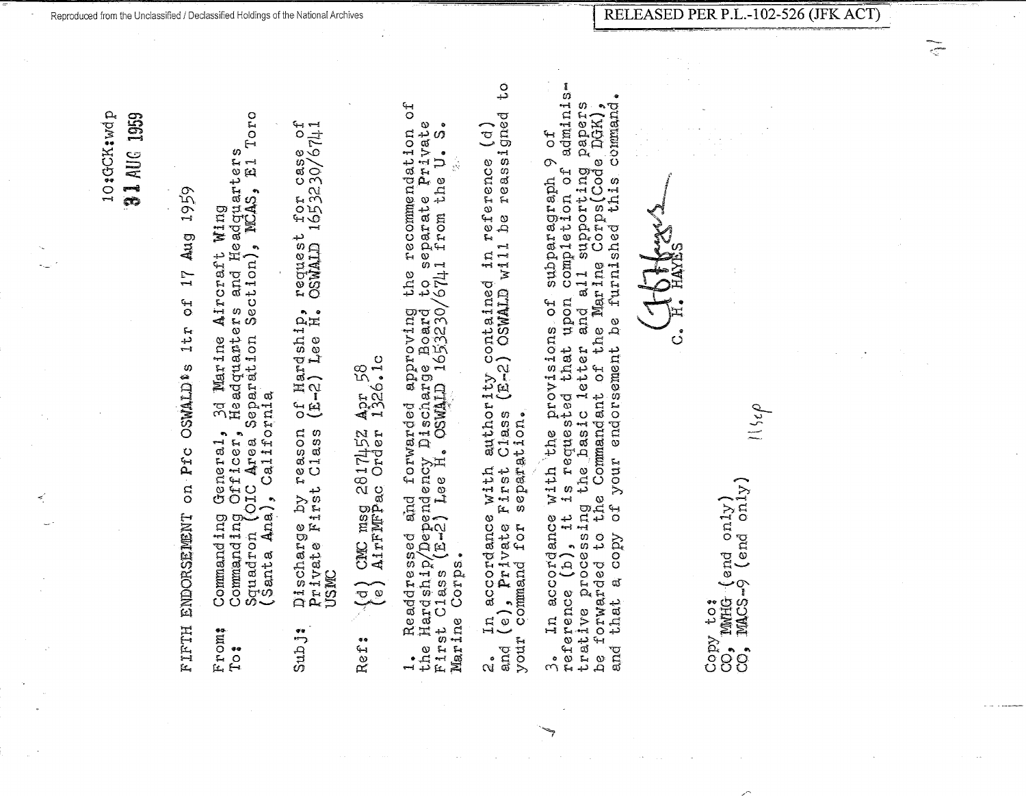10:GCK:wdp **9.1 AUG 1959** 

Aug 1959  $\frac{1}{1}$  $\frac{4}{3}$  $11$ **OSWALD®S** on Pfc ENDORSEMENT FIFTH

- 3d Marine Aircraft Wing<br>Headquanters and Headquarters<br>Separation Section), MCAS, El Toro Commanding Officer, news and the Separation<br>Squadron (OIC Area Separation<br>'Cante Ana), California General,<br>Officer, Command ing From:  $T^{\bullet}$
- $1653230/6741$ request<br>OSWALD 1 of Hardship,<br>(E-2) Lee H. reason<br>Class Discharge by re<br>Private First<br>USMC Sub j:

Apr 58<br>1326.1c CMC msg 2817452<br>AirFMFPac Order  $\left(\frac{1}{2}\right)$ Ref.

 $\overline{a}$ recommendation<br>eparate Private **e**  $\sigma$  $\mathfrak{p}$ to separate Pr<br>/6741 from the the Readdressed and forwarded approving<br>Hardship/Dependency Discharge Board<br>st Class (E-2) Lee H. OSWALD 1653230/ Corps. Marine First  $\frac{1}{10}$ 

ں<br>د reassigned  $\left( \begin{matrix} a \\ c \end{matrix} \right)$ reference e<br>q with authority contained in 1 First Class (E-2) OSWALD will separation. In accordance  $\{e\}$ , Private F.<br>Command for second and (e),  $E_1$ your  $\mathfrak{g}$ 

adminise Luny,<br>command. papers with the provisions of subparagraph 9 of<br>is requested that upon completion of admin<br>j the basic letter and all supporting paper<br>ne Commandant of the Marine Corps(Code DGK) this. be furnlshed endorsement 3. In accordance with the<br>reference (b), it is reques<br>trative processing the basi<br>be forwarded to the Command your  $\overline{C}$ copy  $\vec{a}$ that and

ပႆ

 $CO^{\prime\prime}_{\bullet}$  MMHG (end only)<br> $CO_{\bullet}$  MACS-9 (end only) Copy to:

 $\tilde{\varsigma}$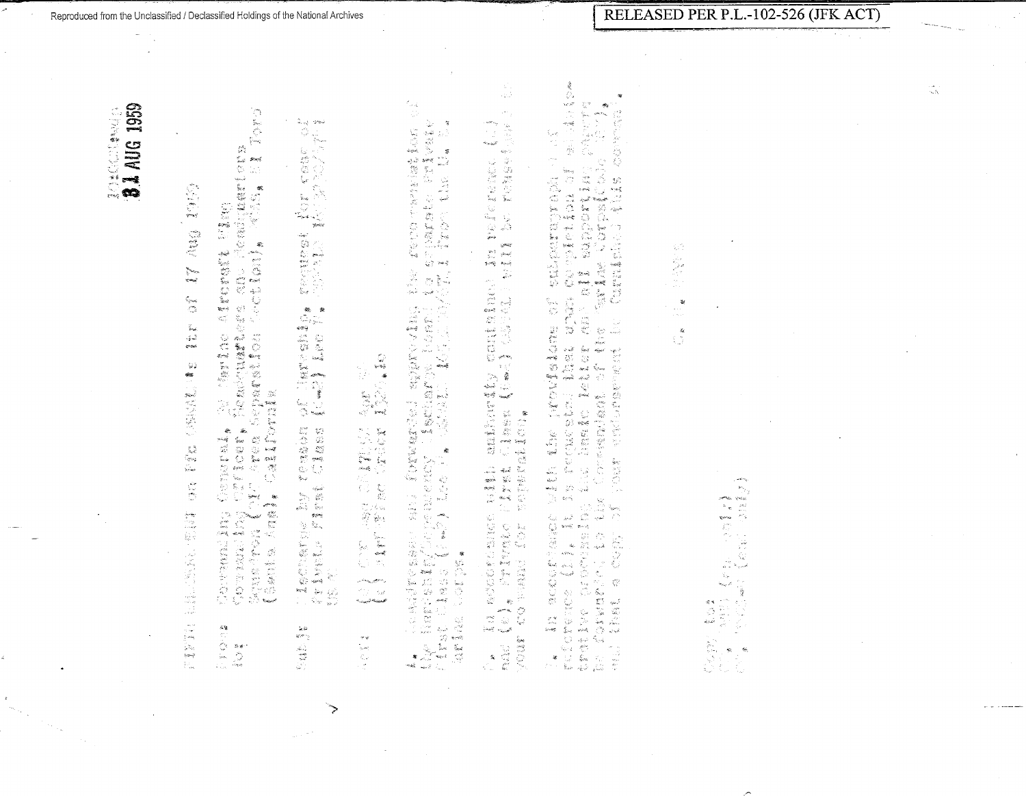$\lambda$ 

精确 Ang  $\sum_{\substack{q' \in \mathcal{Q} \\ q' \neq q, q' \\ q' \neq q'}}$  $\frac{6}{\alpha}$  $\frac{V}{2}$  ,  $\frac{V}{2}$  $\frac{1}{2}\frac{1}{2}$  $\omega$  $\frac{1}{\sqrt{2}}$ (新闻)题  $\begin{array}{l} \frac{1}{4} \left( \begin{array}{cc} 0 & \frac{1}{4} \end{array} \right) & \frac{1}{4} \left( \begin{array}{cc} 0 & \frac{1}{4} \end{array} \right) & \frac{1}{4} \left( \begin{array}{cc} 0 & \frac{1}{4} \end{array} \right) & \frac{1}{4} \left( \begin{array}{cc} 0 & \frac{1}{4} \end{array} \right) & \frac{1}{4} \left( \begin{array}{cc} 0 & \frac{1}{4} \end{array} \right) & \frac{1}{4} \left( \begin{array}{cc} 0 & \frac{1}{4} \end{array} \$  $\mathbb{R}^*$ **特别的 化硫酸盐** 二、字母

- Torp  $\mathcal{C}^{k_0}_\mathcal{C}$ endrimmer<br>1975 - Peter Barne E. Correntaling Condrail, Grinding Maria Aircresit 1<br>Sounand Pil Pacer, Belonderence and Pol<br>Squefa Angl, Greainburg Rou Cection),
- $\hat{\mathcal{R}}_{\text{cusp}}$  grasi 新たい (1995年)<br>1995年 - 1997年 - 1997年<br>1995年 - 1996年 - 1997年 OF JAPOSPED renaber<br>Liaast i<br>E i lancharge<br>Vrivete ri  $\frac{1}{2}$  is alien i

7

**化学装置 医肠麻醉 医肠麻醉法 医心脏** 机飞机  $\label{eq:1} \rho^{\frac{1}{2} \log_{\mathcal{H}} \frac{1}{\rho_{\text{eff}}^2} \frac{1}{\rho_{\text{eff}}^2} \rho_{\text{eff}}^2 \rho_{\text{eff}}^2}$ ing<br>Titulise  $\sigma_{\alpha\beta\gamma\rho\gamma\delta\gamma} \sigma_{\alpha\beta\gamma\delta\delta} \rho$  $\neq \varphi$ 

e e provincia de la 1992<br>1995 : Para de Partin<br>1995 : Partin de la 1998  $\frac{1}{2}$  $\sim$ ni ta shiwarata n<br>Kilimatan a A.<br>1947 – Herich Rame, andr Kormarised Koproving<br>1948 – Herich Ingelsener, lisander Pomer (1941)<br>1948 – Diarps I. (1942), Loe P.

пÚ,  $\langle \cdot \rangle_{\mathcal{E}}$  )  $\mathcal{A}^{\mathcal{A}}$  $\sim$  $\epsilon_{\rm model}$ onnt dinn in frierene.<br>J (2006) - 1411 teferane. : USL and Dorf ()<br>| Lynk Class (Cas)<br>| Soyner () Dr. Ka ascordance<br>mac (e), Prireade<br>Vour co-pand for s

 $\{x_{\bullet}\}_{\bullet}$  actronation with the provisions of tubercornage of the spin of  $\alpha$ <br>reference (1)  $\ell$  it is repeated to the state of the properties of all special to the properties of  $\alpha$ <br>trains proving the fluid the lang

 $\mathbb{Q}^m_0$  $\mathcal{U}$  $\mathbb{C}^{\frac{N}{2}}$ 

> $\mathcal{P}_{\mathcal{O}_{\mathcal{O}}}$  $\begin{bmatrix} \mathbf{Q} & \mathbf{Q} & \mathbf{Q} \\ \mathbf{Q} & \mathbf{Q} & \mathbf{Q} \\ \mathbf{Q} & \mathbf{Q} & \mathbf{Q} \\ \mathbf{Q} & \mathbf{Q} & \mathbf{Q} \\ \mathbf{Q} & \mathbf{Q} & \mathbf{Q} \\ \mathbf{Q} & \mathbf{Q} & \mathbf{Q} \\ \mathbf{Q} & \mathbf{Q} & \mathbf{Q} \\ \mathbf{Q} & \mathbf{Q} & \mathbf{Q} \\ \mathbf{Q} & \mathbf{Q} & \mathbf{Q} \\ \mathbf{Q} & \mathbf{Q} & \mathbf{Q} \\ \mathbf{$ 医红硷  $\begin{aligned} \frac{1}{\sqrt{2}}\frac{1}{\sqrt{2}}\frac{1}{\sqrt{2}}\frac{1}{\sqrt{2}}\frac{1}{\sqrt{2}}\frac{1}{\sqrt{2}}\frac{1}{\sqrt{2}}\frac{1}{\sqrt{2}}\frac{1}{\sqrt{2}}\frac{1}{\sqrt{2}}\frac{1}{\sqrt{2}}\frac{1}{\sqrt{2}}\frac{1}{\sqrt{2}}\frac{1}{\sqrt{2}}\frac{1}{\sqrt{2}}\frac{1}{\sqrt{2}}\frac{1}{\sqrt{2}}\frac{1}{\sqrt{2}}\frac{1}{\sqrt{2}}\frac{1}{\sqrt{2}}\frac{1}{\sqrt{2}}\frac{1}{$  $\frac{1}{2n}$  . <br>  $\frac{1}{2n}$

ф,